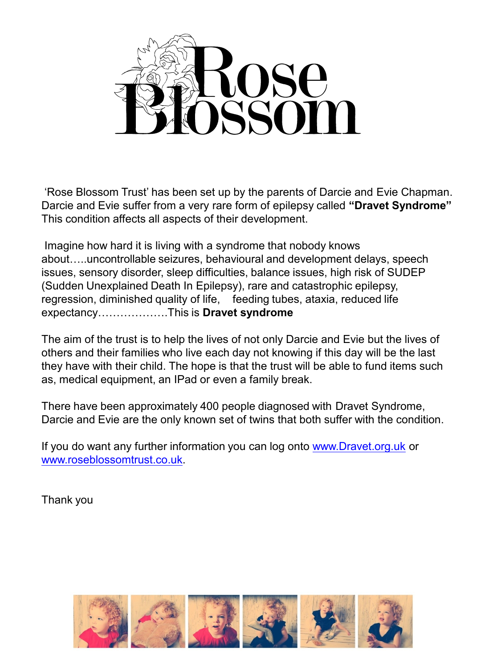

'Rose Blossom Trust' has been set up by the parents of Darcie and Evie Chapman. Darcie and Evie suffer from a very rare form of epilepsy called **"Dravet Syndrome"** This condition affects all aspects of their development.

Imagine how hard it is living with a syndrome that nobody knows about…..uncontrollable seizures, behavioural and development delays, speech issues, sensory disorder, sleep difficulties, balance issues, high risk of SUDEP (Sudden Unexplained Death In Epilepsy), rare and catastrophic epilepsy, regression, diminished quality of life, feeding tubes, ataxia, reduced life expectancy……………….This is **Dravet syndrome**

The aim of the trust is to help the lives of not only Darcie and Evie but the lives of others and their families who live each day not knowing if this day will be the last they have with their child. The hope is that the trust will be able to fund items such as, medical equipment, an IPad or even a family break.

There have been approximately 400 people diagnosed with Dravet Syndrome, Darcie and Evie are the only known set of twins that both suffer with the condition.

If you do want any further information you can log onto [www.Dravet.org.uk](http://www.dravet.org.uk/) or [www.roseblossomtrust.co.uk.](http://www.roseblossomtrust.co.uk/)

Thank you

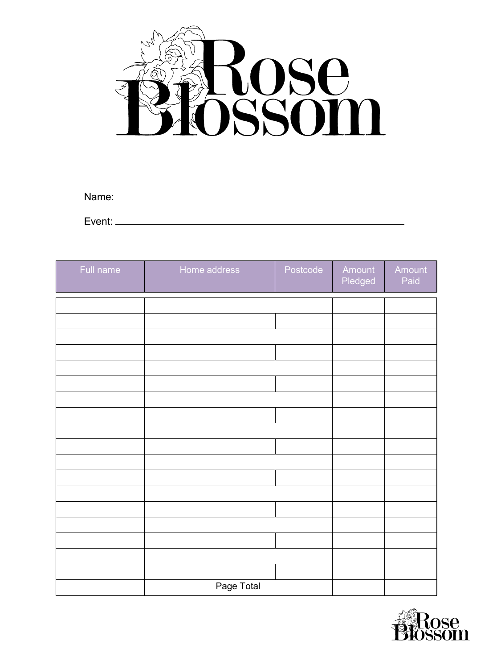

| Name:  |  |  |
|--------|--|--|
|        |  |  |
| Event: |  |  |

| Full name | Home address | Postcode | Amount<br>Pledged | Amount<br>Paid |
|-----------|--------------|----------|-------------------|----------------|
|           |              |          |                   |                |
|           |              |          |                   |                |
|           |              |          |                   |                |
|           |              |          |                   |                |
|           |              |          |                   |                |
|           |              |          |                   |                |
|           |              |          |                   |                |
|           |              |          |                   |                |
|           |              |          |                   |                |
|           |              |          |                   |                |
|           |              |          |                   |                |
|           |              |          |                   |                |
|           |              |          |                   |                |
|           |              |          |                   |                |
|           |              |          |                   |                |
|           |              |          |                   |                |
|           |              |          |                   |                |
|           | Page Total   |          |                   |                |